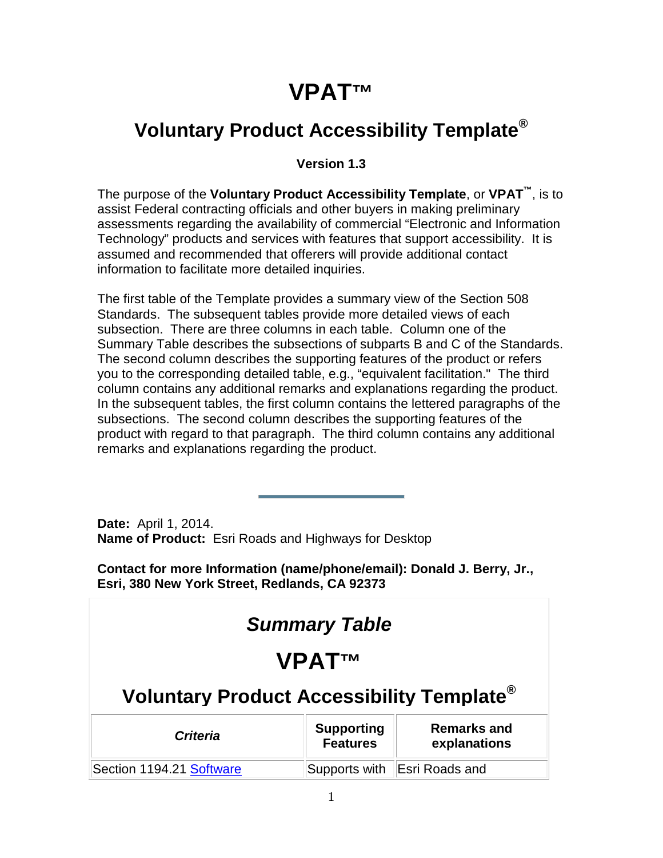# **VPAT™**

### **Voluntary Product Accessibility Template®**

#### **Version 1.3**

The purpose of the **Voluntary Product Accessibility Template**, or **VPAT™**, is to assist Federal contracting officials and other buyers in making preliminary assessments regarding the availability of commercial "Electronic and Information Technology" products and services with features that support accessibility. It is assumed and recommended that offerers will provide additional contact information to facilitate more detailed inquiries.

The first table of the Template provides a summary view of the Section 508 Standards. The subsequent tables provide more detailed views of each subsection. There are three columns in each table. Column one of the Summary Table describes the subsections of subparts B and C of the Standards. The second column describes the supporting features of the product or refers you to the corresponding detailed table, e.g., "equivalent facilitation." The third column contains any additional remarks and explanations regarding the product. In the subsequent tables, the first column contains the lettered paragraphs of the subsections. The second column describes the supporting features of the product with regard to that paragraph. The third column contains any additional remarks and explanations regarding the product.

**Date:** April 1, 2014. **Name of Product:** Esri Roads and Highways for Desktop

**Contact for more Information (name/phone/email): Donald J. Berry, Jr., Esri, 380 New York Street, Redlands, CA 92373**

| <b>Summary Table</b>                                                                   |  |                              |
|----------------------------------------------------------------------------------------|--|------------------------------|
| <b>VPATTM</b>                                                                          |  |                              |
| Voluntary Product Accessibility Template <sup>®</sup>                                  |  |                              |
| <b>Supporting</b><br>Remarks and<br><b>Criteria</b><br><b>Features</b><br>explanations |  |                              |
| Section 1194.21 Software                                                               |  | Supports with Esri Roads and |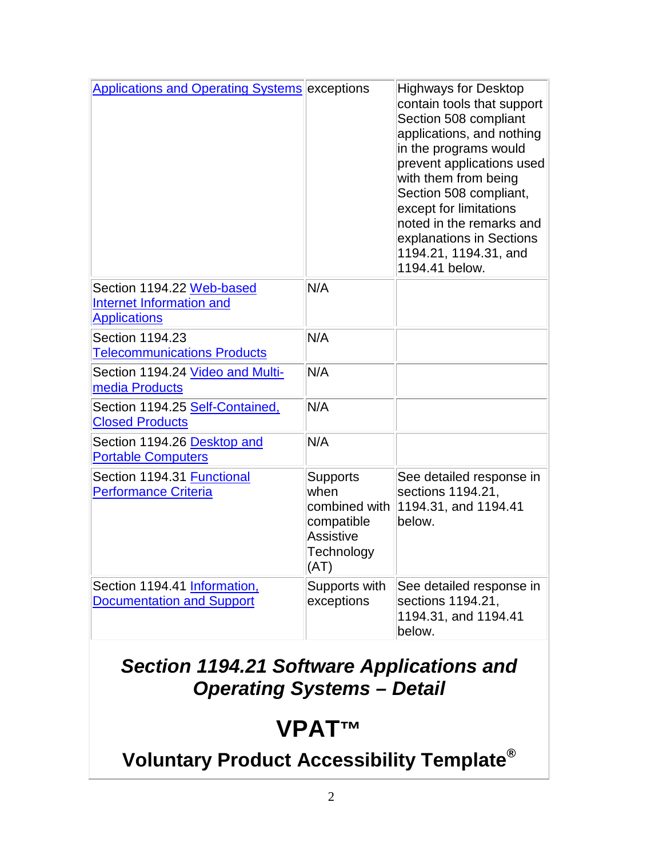| <b>Applications and Operating Systems exceptions</b>                         |                                                                                           | <b>Highways for Desktop</b><br>contain tools that support<br>Section 508 compliant<br>applications, and nothing<br>in the programs would<br>prevent applications used<br>with them from being<br>Section 508 compliant,<br>except for limitations<br>noted in the remarks and<br>explanations in Sections<br>1194.21, 1194.31, and<br>1194.41 below. |
|------------------------------------------------------------------------------|-------------------------------------------------------------------------------------------|------------------------------------------------------------------------------------------------------------------------------------------------------------------------------------------------------------------------------------------------------------------------------------------------------------------------------------------------------|
| Section 1194.22 Web-based<br>Internet Information and<br><b>Applications</b> | N/A                                                                                       |                                                                                                                                                                                                                                                                                                                                                      |
| Section 1194.23<br><b>Telecommunications Products</b>                        | N/A                                                                                       |                                                                                                                                                                                                                                                                                                                                                      |
| Section 1194.24 Video and Multi-<br>media Products                           | N/A                                                                                       |                                                                                                                                                                                                                                                                                                                                                      |
| Section 1194.25 Self-Contained,<br><b>Closed Products</b>                    | N/A                                                                                       |                                                                                                                                                                                                                                                                                                                                                      |
| Section 1194.26 Desktop and<br><b>Portable Computers</b>                     | N/A                                                                                       |                                                                                                                                                                                                                                                                                                                                                      |
| Section 1194.31 Functional<br>Performance Criteria                           | <b>Supports</b><br>when<br>combined with<br>compatible<br>Assistive<br>Technology<br>(AT) | See detailed response in<br>sections 1194.21,<br>1194.31, and 1194.41<br>below.                                                                                                                                                                                                                                                                      |
| Section 1194.41 Information,<br><b>Documentation and Support</b>             | Supports with<br>exceptions                                                               | See detailed response in<br>sections 1194.21,<br>1194.31, and 1194.41<br>below.                                                                                                                                                                                                                                                                      |

### *Section 1194.21 Software Applications and Operating Systems – Detail*

### **VPAT™**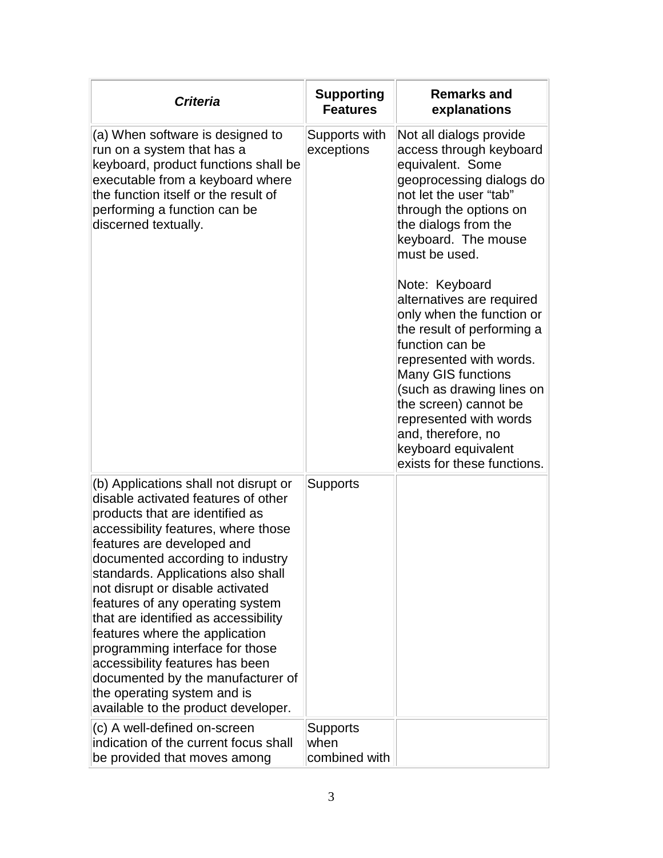| <b>Criteria</b>                                                                                                                                                                                                                                                                                                                                                                                                                                                                                                                                                                                   | <b>Supporting</b><br><b>Features</b>     | <b>Remarks and</b><br>explanations                                                                                                                                                                                                                                                                                                                                                                                                                                                                                                       |
|---------------------------------------------------------------------------------------------------------------------------------------------------------------------------------------------------------------------------------------------------------------------------------------------------------------------------------------------------------------------------------------------------------------------------------------------------------------------------------------------------------------------------------------------------------------------------------------------------|------------------------------------------|------------------------------------------------------------------------------------------------------------------------------------------------------------------------------------------------------------------------------------------------------------------------------------------------------------------------------------------------------------------------------------------------------------------------------------------------------------------------------------------------------------------------------------------|
| (a) When software is designed to<br>run on a system that has a<br>keyboard, product functions shall be<br>executable from a keyboard where<br>the function itself or the result of<br>performing a function can be<br>discerned textually.                                                                                                                                                                                                                                                                                                                                                        | Supports with<br>exceptions              | Not all dialogs provide<br>access through keyboard<br>equivalent. Some<br>geoprocessing dialogs do<br>not let the user "tab"<br>through the options on<br>the dialogs from the<br>keyboard. The mouse<br>must be used.<br>Note: Keyboard<br>alternatives are required<br>only when the function or<br>the result of performing a<br>function can be<br>represented with words.<br><b>Many GIS functions</b><br>(such as drawing lines on<br>the screen) cannot be<br>represented with words<br>and, therefore, no<br>keyboard equivalent |
| (b) Applications shall not disrupt or<br>disable activated features of other<br>products that are identified as<br>accessibility features, where those<br>features are developed and<br>documented according to industry<br>standards. Applications also shall<br>not disrupt or disable activated<br>features of any operating system<br>that are identified as accessibility<br>features where the application<br>programming interface for those<br>accessibility features has been<br>documented by the manufacturer of<br>the operating system and is<br>available to the product developer. | <b>Supports</b>                          | exists for these functions.                                                                                                                                                                                                                                                                                                                                                                                                                                                                                                              |
| (c) A well-defined on-screen<br>indication of the current focus shall<br>be provided that moves among                                                                                                                                                                                                                                                                                                                                                                                                                                                                                             | <b>Supports</b><br>when<br>combined with |                                                                                                                                                                                                                                                                                                                                                                                                                                                                                                                                          |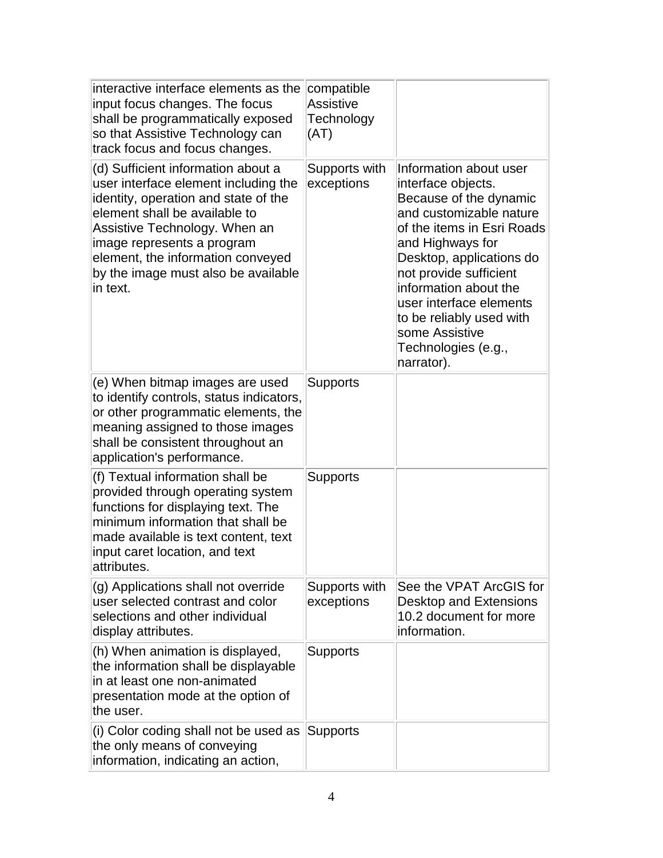| interactive interface elements as the<br>input focus changes. The focus<br>shall be programmatically exposed<br>so that Assistive Technology can<br>track focus and focus changes.                                                                                                                         | compatible<br><b>Assistive</b><br>Technology<br>(AT) |                                                                                                                                                                                                                                                                                                                                                  |
|------------------------------------------------------------------------------------------------------------------------------------------------------------------------------------------------------------------------------------------------------------------------------------------------------------|------------------------------------------------------|--------------------------------------------------------------------------------------------------------------------------------------------------------------------------------------------------------------------------------------------------------------------------------------------------------------------------------------------------|
| (d) Sufficient information about a<br>user interface element including the<br>identity, operation and state of the<br>element shall be available to<br>Assistive Technology. When an<br>image represents a program<br>element, the information conveyed<br>by the image must also be available<br>in text. | Supports with<br>exceptions                          | Information about user<br>interface objects.<br>Because of the dynamic<br>and customizable nature<br>of the items in Esri Roads<br>and Highways for<br>Desktop, applications do<br>not provide sufficient<br>information about the<br>user interface elements<br>to be reliably used with<br>some Assistive<br>Technologies (e.g.,<br>narrator). |
| (e) When bitmap images are used<br>to identify controls, status indicators,<br>or other programmatic elements, the<br>meaning assigned to those images<br>shall be consistent throughout an<br>application's performance.                                                                                  | Supports                                             |                                                                                                                                                                                                                                                                                                                                                  |
| (f) Textual information shall be<br>provided through operating system<br>functions for displaying text. The<br>minimum information that shall be<br>made available is text content, text<br>input caret location, and text<br>attributes.                                                                  | <b>Supports</b>                                      |                                                                                                                                                                                                                                                                                                                                                  |
| (g) Applications shall not override<br>user selected contrast and color<br>selections and other individual<br>display attributes.                                                                                                                                                                          | Supports with<br>exceptions                          | See the VPAT ArcGIS for<br>Desktop and Extensions<br>10.2 document for more<br>information.                                                                                                                                                                                                                                                      |
| (h) When animation is displayed,<br>the information shall be displayable<br>in at least one non-animated<br>presentation mode at the option of<br>the user.                                                                                                                                                | <b>Supports</b>                                      |                                                                                                                                                                                                                                                                                                                                                  |
| (i) Color coding shall not be used as<br>the only means of conveying<br>information, indicating an action,                                                                                                                                                                                                 | <b>Supports</b>                                      |                                                                                                                                                                                                                                                                                                                                                  |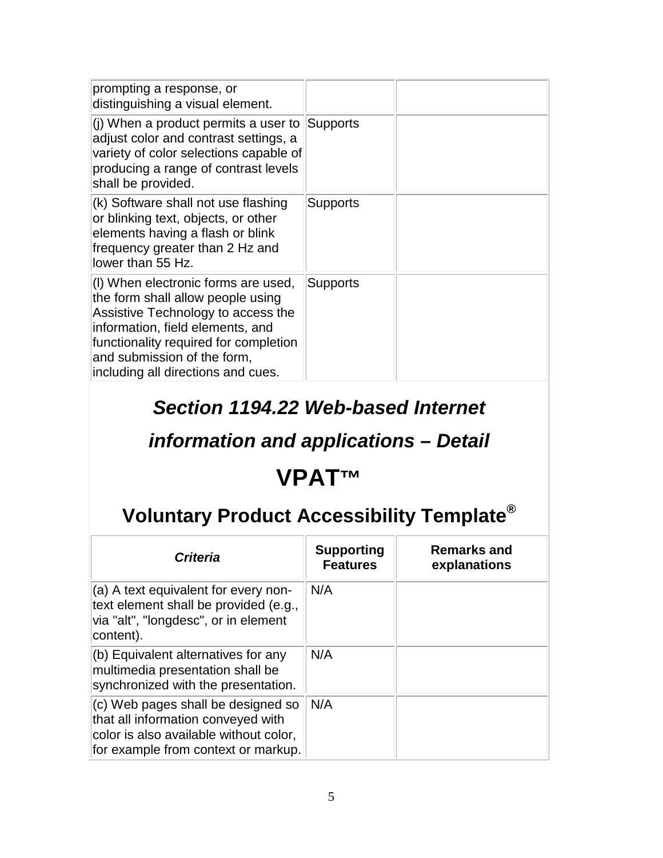| prompting a response, or<br>distinguishing a visual element.                                                                                                                                                                                                     |                 |  |
|------------------------------------------------------------------------------------------------------------------------------------------------------------------------------------------------------------------------------------------------------------------|-----------------|--|
| (j) When a product permits a user to<br>adjust color and contrast settings, a<br>variety of color selections capable of<br>producing a range of contrast levels<br>shall be provided.                                                                            | Supports        |  |
| (k) Software shall not use flashing<br>or blinking text, objects, or other<br>elements having a flash or blink<br>frequency greater than 2 Hz and<br>lower than 55 Hz.                                                                                           | <b>Supports</b> |  |
| (I) When electronic forms are used,<br>the form shall allow people using<br>Assistive Technology to access the<br>information, field elements, and<br>functionality required for completion<br>and submission of the form,<br>including all directions and cues. | Supports        |  |

#### *Section 1194.22 Web-based Internet*

### *information and applications – Detail*

### **VPAT™**

| <b>Criteria</b>                                                                                                                                             | <b>Supporting</b><br><b>Features</b> | <b>Remarks and</b><br>explanations |
|-------------------------------------------------------------------------------------------------------------------------------------------------------------|--------------------------------------|------------------------------------|
| (a) A text equivalent for every non-<br>text element shall be provided (e.g.,<br>via "alt", "longdesc", or in element<br>content).                          | N/A                                  |                                    |
| (b) Equivalent alternatives for any<br>multimedia presentation shall be<br>synchronized with the presentation.                                              | N/A                                  |                                    |
| $(c)$ Web pages shall be designed so<br>that all information conveyed with<br>color is also available without color,<br>for example from context or markup. | N/A                                  |                                    |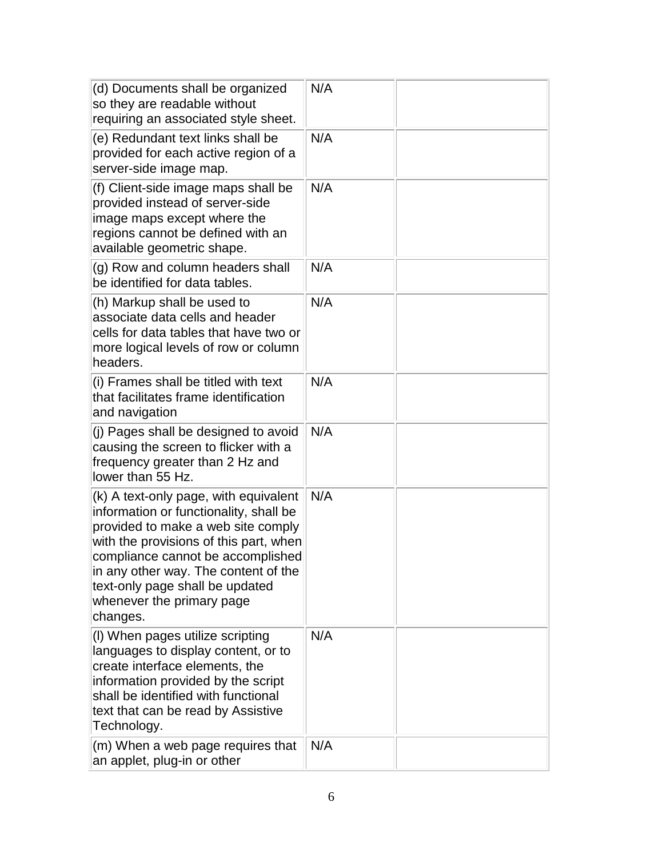| (d) Documents shall be organized<br>so they are readable without<br>requiring an associated style sheet.                                                                                                                                                                                                                 | N/A |  |
|--------------------------------------------------------------------------------------------------------------------------------------------------------------------------------------------------------------------------------------------------------------------------------------------------------------------------|-----|--|
| (e) Redundant text links shall be<br>provided for each active region of a<br>server-side image map.                                                                                                                                                                                                                      | N/A |  |
| (f) Client-side image maps shall be<br>provided instead of server-side<br>image maps except where the<br>regions cannot be defined with an<br>available geometric shape.                                                                                                                                                 | N/A |  |
| (g) Row and column headers shall<br>be identified for data tables.                                                                                                                                                                                                                                                       | N/A |  |
| (h) Markup shall be used to<br>associate data cells and header<br>cells for data tables that have two or<br>more logical levels of row or column<br>headers.                                                                                                                                                             | N/A |  |
| (i) Frames shall be titled with text<br>that facilitates frame identification<br>and navigation                                                                                                                                                                                                                          | N/A |  |
| (j) Pages shall be designed to avoid<br>causing the screen to flicker with a<br>frequency greater than 2 Hz and<br>lower than 55 Hz.                                                                                                                                                                                     | N/A |  |
| (k) A text-only page, with equivalent<br>information or functionality, shall be<br>provided to make a web site comply<br>with the provisions of this part, when<br>compliance cannot be accomplished<br>in any other way. The content of the<br>text-only page shall be updated<br>whenever the primary page<br>changes. | N/A |  |
| (I) When pages utilize scripting<br>languages to display content, or to<br>create interface elements, the<br>information provided by the script<br>shall be identified with functional<br>text that can be read by Assistive<br>Technology.                                                                              | N/A |  |
| (m) When a web page requires that<br>an applet, plug-in or other                                                                                                                                                                                                                                                         | N/A |  |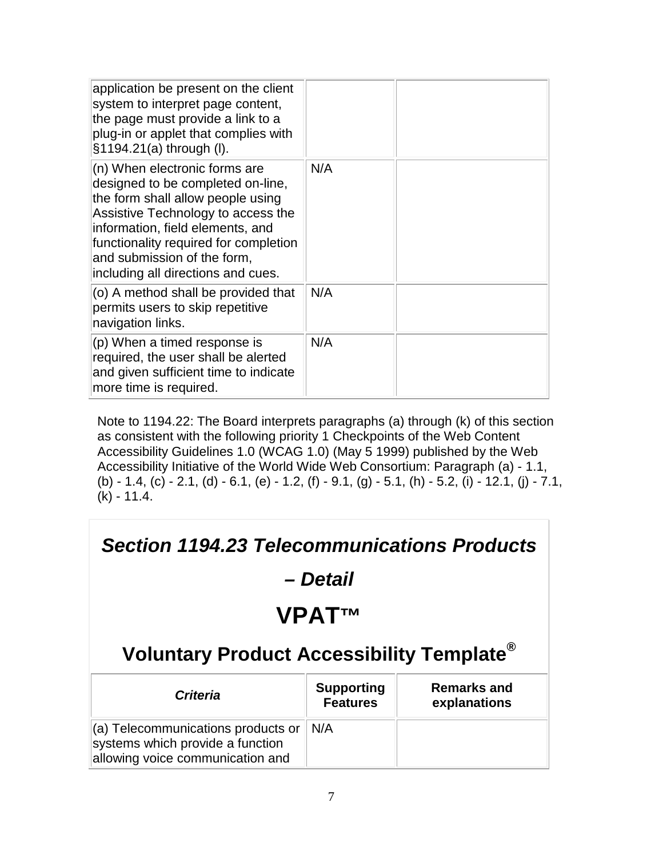| application be present on the client<br>system to interpret page content,<br>the page must provide a link to a<br>plug-in or applet that complies with<br>§1194.21(a) through (I).                                                                                                              |     |  |
|-------------------------------------------------------------------------------------------------------------------------------------------------------------------------------------------------------------------------------------------------------------------------------------------------|-----|--|
| (n) When electronic forms are<br>designed to be completed on-line,<br>the form shall allow people using<br>Assistive Technology to access the<br>information, field elements, and<br>functionality required for completion<br>and submission of the form,<br>including all directions and cues. | N/A |  |
| (o) A method shall be provided that<br>permits users to skip repetitive<br>navigation links.                                                                                                                                                                                                    | N/A |  |
| (p) When a timed response is<br>required, the user shall be alerted<br>and given sufficient time to indicate<br>more time is required.                                                                                                                                                          | N/A |  |

Note to 1194.22: The Board interprets paragraphs (a) through (k) of this section as consistent with the following priority 1 Checkpoints of the Web Content Accessibility Guidelines 1.0 (WCAG 1.0) (May 5 1999) published by the Web Accessibility Initiative of the World Wide Web Consortium: Paragraph (a) - 1.1, (b) - 1.4, (c) - 2.1, (d) - 6.1, (e) - 1.2, (f) - 9.1, (g) - 5.1, (h) - 5.2, (i) - 12.1, (j) - 7.1, (k) - 11.4.

#### *Section 1194.23 Telecommunications Products – Detail* **VPAT™ Voluntary Product Accessibility Template® Criteria Supporting Features Remarks and explanations** (a) Telecommunications products or systems which provide a function allowing voice communication and N/A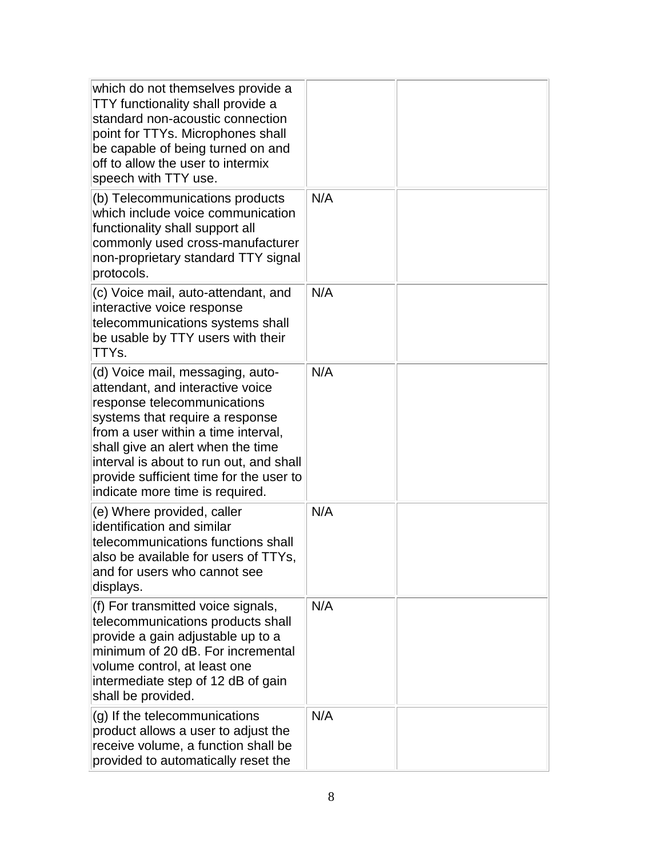| which do not themselves provide a<br>TTY functionality shall provide a<br>standard non-acoustic connection<br>point for TTYs. Microphones shall<br>be capable of being turned on and<br>off to allow the user to intermix<br>speech with TTY use.                                                                                           |     |  |
|---------------------------------------------------------------------------------------------------------------------------------------------------------------------------------------------------------------------------------------------------------------------------------------------------------------------------------------------|-----|--|
| (b) Telecommunications products<br>which include voice communication<br>functionality shall support all<br>commonly used cross-manufacturer<br>non-proprietary standard TTY signal<br>protocols.                                                                                                                                            | N/A |  |
| (c) Voice mail, auto-attendant, and<br>interactive voice response<br>telecommunications systems shall<br>be usable by TTY users with their<br>TTYs.                                                                                                                                                                                         | N/A |  |
| (d) Voice mail, messaging, auto-<br>attendant, and interactive voice<br>response telecommunications<br>systems that require a response<br>from a user within a time interval,<br>shall give an alert when the time<br>interval is about to run out, and shall<br>provide sufficient time for the user to<br>indicate more time is required. | N/A |  |
| (e) Where provided, caller<br>identification and similar<br>telecommunications functions shall<br>also be available for users of TTYs,<br>and for users who cannot see<br>displays.                                                                                                                                                         | N/A |  |
| (f) For transmitted voice signals,<br>telecommunications products shall<br>provide a gain adjustable up to a<br>minimum of 20 dB. For incremental<br>volume control, at least one<br>intermediate step of 12 dB of gain<br>shall be provided.                                                                                               | N/A |  |
| (g) If the telecommunications<br>product allows a user to adjust the<br>receive volume, a function shall be<br>provided to automatically reset the                                                                                                                                                                                          | N/A |  |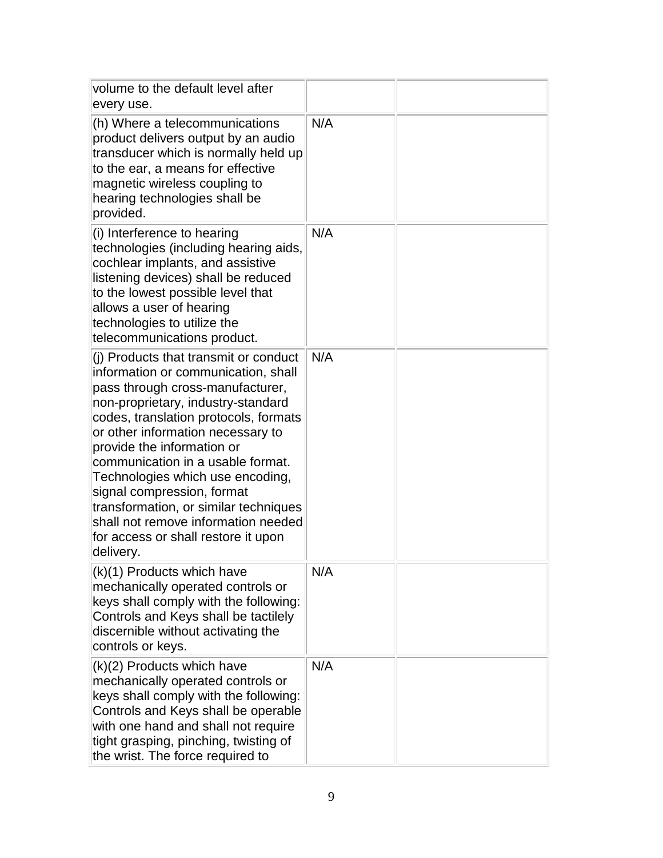| volume to the default level after<br>every use.                                                                                                                                                                                                                                                                                                                                                                                                                                                               |     |  |
|---------------------------------------------------------------------------------------------------------------------------------------------------------------------------------------------------------------------------------------------------------------------------------------------------------------------------------------------------------------------------------------------------------------------------------------------------------------------------------------------------------------|-----|--|
| (h) Where a telecommunications<br>product delivers output by an audio<br>transducer which is normally held up<br>to the ear, a means for effective<br>magnetic wireless coupling to<br>hearing technologies shall be<br>provided.                                                                                                                                                                                                                                                                             | N/A |  |
| (i) Interference to hearing<br>technologies (including hearing aids,<br>cochlear implants, and assistive<br>listening devices) shall be reduced<br>to the lowest possible level that<br>allows a user of hearing<br>technologies to utilize the<br>telecommunications product.                                                                                                                                                                                                                                | N/A |  |
| (i) Products that transmit or conduct<br>information or communication, shall<br>pass through cross-manufacturer,<br>non-proprietary, industry-standard<br>codes, translation protocols, formats<br>or other information necessary to<br>provide the information or<br>communication in a usable format.<br>Technologies which use encoding,<br>signal compression, format<br>transformation, or similar techniques<br>shall not remove information needed<br>for access or shall restore it upon<br>delivery. | N/A |  |
| (k)(1) Products which have<br>mechanically operated controls or<br>keys shall comply with the following:<br>Controls and Keys shall be tactilely<br>discernible without activating the<br>controls or keys.                                                                                                                                                                                                                                                                                                   | N/A |  |
| (k)(2) Products which have<br>mechanically operated controls or<br>keys shall comply with the following:<br>Controls and Keys shall be operable<br>with one hand and shall not require<br>tight grasping, pinching, twisting of<br>the wrist. The force required to                                                                                                                                                                                                                                           | N/A |  |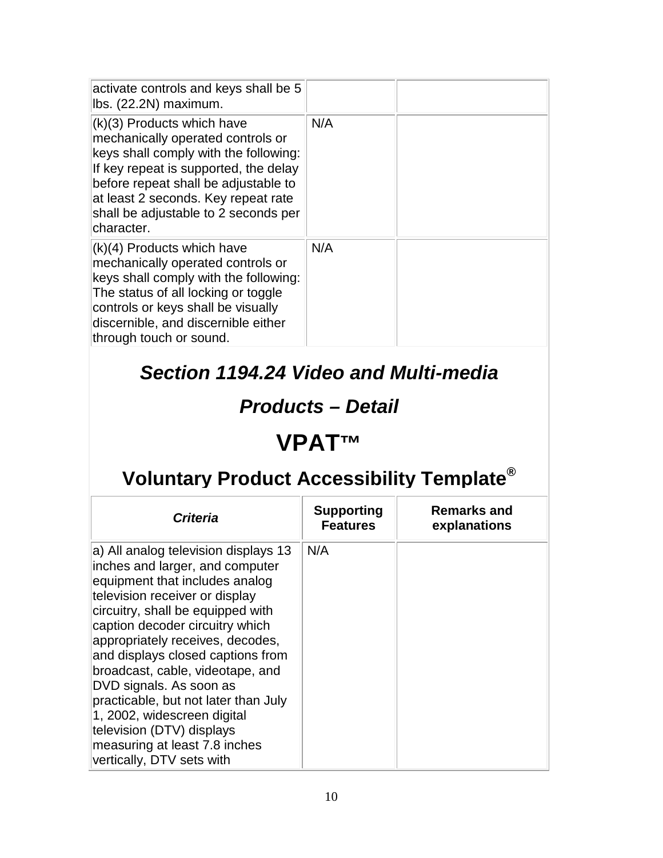| activate controls and keys shall be 5<br>Ibs. (22.2N) maximum.                                                                                                                                                                                                                           |     |  |
|------------------------------------------------------------------------------------------------------------------------------------------------------------------------------------------------------------------------------------------------------------------------------------------|-----|--|
| $(k)(3)$ Products which have<br>mechanically operated controls or<br>keys shall comply with the following:<br>If key repeat is supported, the delay<br>before repeat shall be adjustable to<br>at least 2 seconds. Key repeat rate<br>shall be adjustable to 2 seconds per<br>character. | N/A |  |
| $(k)(4)$ Products which have<br>mechanically operated controls or<br>keys shall comply with the following:<br>The status of all locking or toggle<br>controls or keys shall be visually<br>discernible, and discernible either<br>through touch or sound.                                | N/A |  |

#### *Section 1194.24 Video and Multi-media*

#### *Products – Detail*

### **VPAT™**

| <b>Criteria</b>                                                                                                                                                                                                                                                                                                                                                                                                                                                                                                               | <b>Supporting</b><br><b>Features</b> | <b>Remarks and</b><br>explanations |
|-------------------------------------------------------------------------------------------------------------------------------------------------------------------------------------------------------------------------------------------------------------------------------------------------------------------------------------------------------------------------------------------------------------------------------------------------------------------------------------------------------------------------------|--------------------------------------|------------------------------------|
| a) All analog television displays 13<br>inches and larger, and computer<br>equipment that includes analog<br>television receiver or display<br>circuitry, shall be equipped with<br>caption decoder circuitry which<br>appropriately receives, decodes,<br>and displays closed captions from<br>broadcast, cable, videotape, and<br>DVD signals. As soon as<br>practicable, but not later than July<br>1, 2002, widescreen digital<br>television (DTV) displays<br>measuring at least 7.8 inches<br>vertically, DTV sets with | N/A                                  |                                    |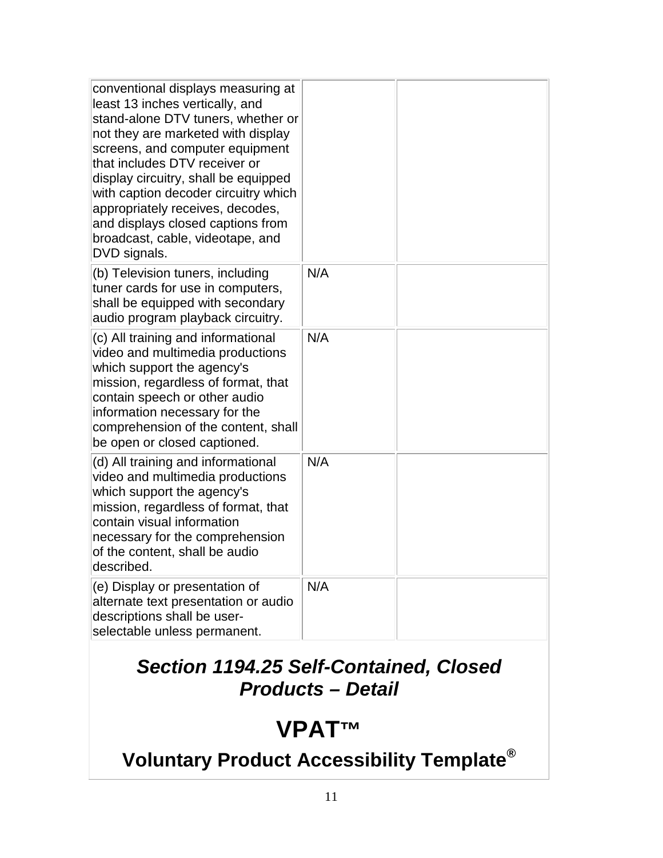| conventional displays measuring at<br>least 13 inches vertically, and<br>stand-alone DTV tuners, whether or<br>not they are marketed with display<br>screens, and computer equipment<br>that includes DTV receiver or<br>display circuitry, shall be equipped<br>with caption decoder circuitry which<br>appropriately receives, decodes,<br>and displays closed captions from<br>broadcast, cable, videotape, and<br>DVD signals. |     |  |
|------------------------------------------------------------------------------------------------------------------------------------------------------------------------------------------------------------------------------------------------------------------------------------------------------------------------------------------------------------------------------------------------------------------------------------|-----|--|
| (b) Television tuners, including<br>tuner cards for use in computers,<br>shall be equipped with secondary<br>audio program playback circuitry.                                                                                                                                                                                                                                                                                     | N/A |  |
| (c) All training and informational<br>video and multimedia productions<br>which support the agency's<br>mission, regardless of format, that<br>contain speech or other audio<br>information necessary for the<br>comprehension of the content, shall<br>be open or closed captioned.                                                                                                                                               | N/A |  |
| (d) All training and informational<br>video and multimedia productions<br>which support the agency's<br>mission, regardless of format, that<br>contain visual information<br>necessary for the comprehension<br>of the content, shall be audio<br>described.                                                                                                                                                                       | N/A |  |
| (e) Display or presentation of<br>alternate text presentation or audio<br>descriptions shall be user-<br>selectable unless permanent.                                                                                                                                                                                                                                                                                              | N/A |  |

#### *Section 1194.25 Self-Contained, Closed Products – Detail*

### **VPAT™**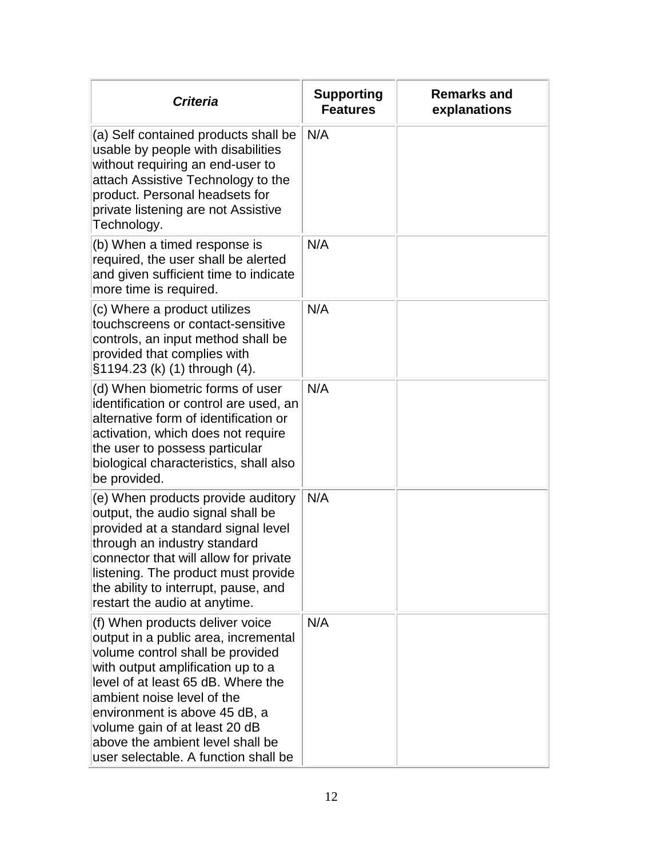| <b>Criteria</b>                                                                                                                                                                                                                                                                                                                                                    | <b>Supporting</b><br><b>Features</b> | <b>Remarks and</b><br>explanations |
|--------------------------------------------------------------------------------------------------------------------------------------------------------------------------------------------------------------------------------------------------------------------------------------------------------------------------------------------------------------------|--------------------------------------|------------------------------------|
| (a) Self contained products shall be<br>usable by people with disabilities<br>without requiring an end-user to<br>attach Assistive Technology to the<br>product. Personal headsets for<br>private listening are not Assistive<br>Technology.                                                                                                                       | N/A                                  |                                    |
| (b) When a timed response is<br>required, the user shall be alerted<br>and given sufficient time to indicate<br>more time is required.                                                                                                                                                                                                                             | N/A                                  |                                    |
| (c) Where a product utilizes<br>touchscreens or contact-sensitive<br>controls, an input method shall be<br>provided that complies with<br>§1194.23 (k) (1) through (4).                                                                                                                                                                                            | N/A                                  |                                    |
| (d) When biometric forms of user<br>identification or control are used, an<br>alternative form of identification or<br>activation, which does not require<br>the user to possess particular<br>biological characteristics, shall also<br>be provided.                                                                                                              | N/A                                  |                                    |
| (e) When products provide auditory<br>output, the audio signal shall be<br>provided at a standard signal level<br>through an industry standard<br>connector that will allow for private<br>listening. The product must provide<br>the ability to interrupt, pause, and<br>restart the audio at anytime.                                                            | N/A                                  |                                    |
| (f) When products deliver voice<br>output in a public area, incremental<br>volume control shall be provided<br>with output amplification up to a<br>level of at least 65 dB. Where the<br>ambient noise level of the<br>environment is above 45 dB, a<br>volume gain of at least 20 dB<br>above the ambient level shall be<br>user selectable. A function shall be | N/A                                  |                                    |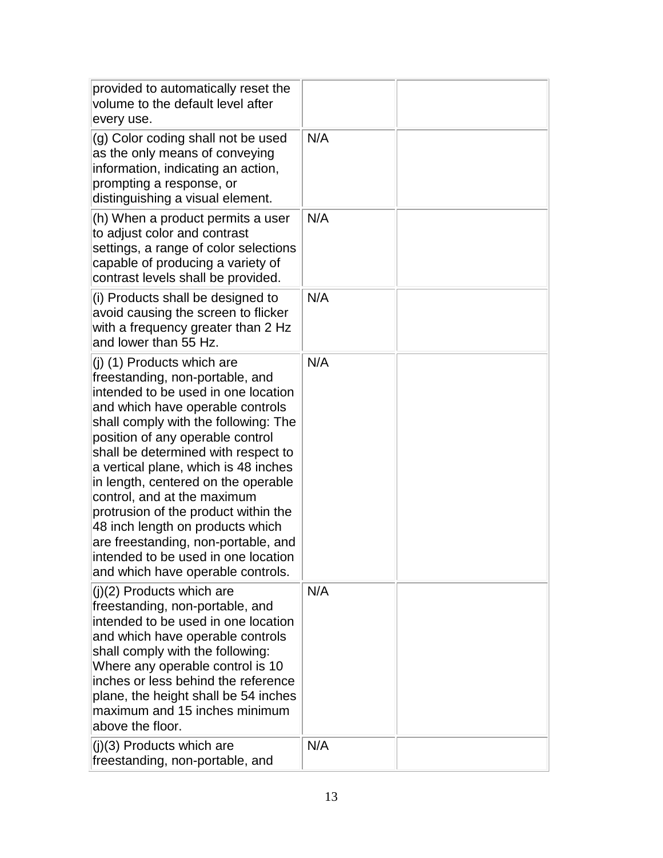| provided to automatically reset the<br>volume to the default level after<br>every use.                                                                                                                                                                                                                                                                                                                                                                                                                                                                                   |     |  |
|--------------------------------------------------------------------------------------------------------------------------------------------------------------------------------------------------------------------------------------------------------------------------------------------------------------------------------------------------------------------------------------------------------------------------------------------------------------------------------------------------------------------------------------------------------------------------|-----|--|
| (g) Color coding shall not be used<br>as the only means of conveying<br>information, indicating an action,<br>prompting a response, or<br>distinguishing a visual element.                                                                                                                                                                                                                                                                                                                                                                                               | N/A |  |
| (h) When a product permits a user<br>to adjust color and contrast<br>settings, a range of color selections<br>capable of producing a variety of<br>contrast levels shall be provided.                                                                                                                                                                                                                                                                                                                                                                                    | N/A |  |
| (i) Products shall be designed to<br>avoid causing the screen to flicker<br>with a frequency greater than 2 Hz<br>and lower than 55 Hz.                                                                                                                                                                                                                                                                                                                                                                                                                                  | N/A |  |
| (j) (1) Products which are<br>freestanding, non-portable, and<br>intended to be used in one location<br>and which have operable controls<br>shall comply with the following: The<br>position of any operable control<br>shall be determined with respect to<br>a vertical plane, which is 48 inches<br>in length, centered on the operable<br>control, and at the maximum<br>protrusion of the product within the<br>48 inch length on products which<br>are freestanding, non-portable, and<br>intended to be used in one location<br>and which have operable controls. | N/A |  |
| $(i)(2)$ Products which are<br>freestanding, non-portable, and<br>intended to be used in one location<br>and which have operable controls<br>shall comply with the following:<br>Where any operable control is 10<br>inches or less behind the reference<br>plane, the height shall be 54 inches<br>maximum and 15 inches minimum<br>above the floor.                                                                                                                                                                                                                    | N/A |  |
| $(j)(3)$ Products which are<br>freestanding, non-portable, and                                                                                                                                                                                                                                                                                                                                                                                                                                                                                                           | N/A |  |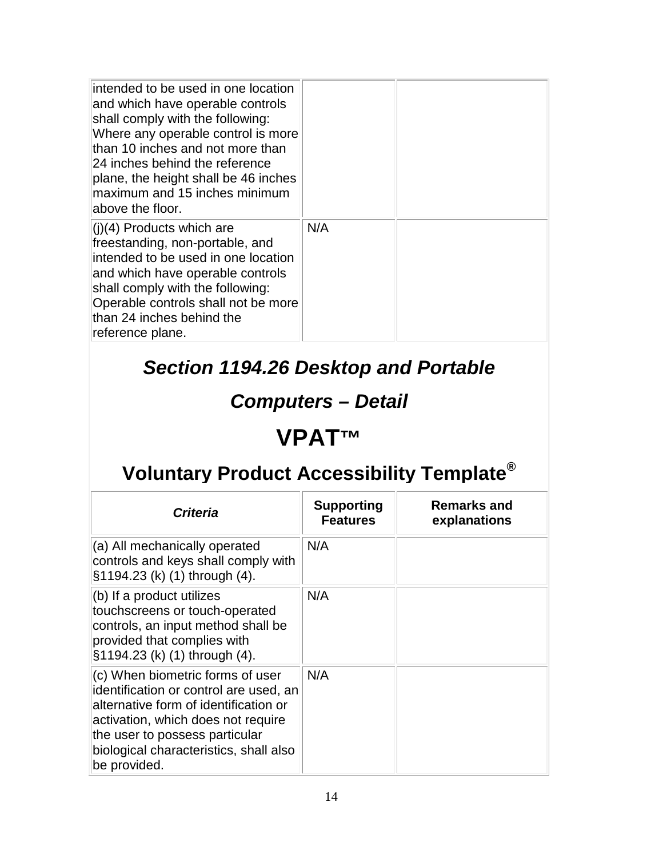| intended to be used in one location<br>and which have operable controls<br>shall comply with the following:<br>Where any operable control is more<br>than 10 inches and not more than<br>24 inches behind the reference<br>plane, the height shall be 46 inches<br>maximum and 15 inches minimum<br>above the floor. |     |  |
|----------------------------------------------------------------------------------------------------------------------------------------------------------------------------------------------------------------------------------------------------------------------------------------------------------------------|-----|--|
| $(1)(4)$ Products which are<br>freestanding, non-portable, and<br>intended to be used in one location<br>and which have operable controls<br>shall comply with the following:<br>Operable controls shall not be more<br>than 24 inches behind the<br>reference plane.                                                | N/A |  |

### *Section 1194.26 Desktop and Portable*

### *Computers – Detail*

### **VPAT™**

| <b>Criteria</b>                                                                                                                                                                                                                                       | <b>Supporting</b><br><b>Features</b> | <b>Remarks and</b><br>explanations |
|-------------------------------------------------------------------------------------------------------------------------------------------------------------------------------------------------------------------------------------------------------|--------------------------------------|------------------------------------|
| (a) All mechanically operated<br>controls and keys shall comply with<br>§1194.23 (k) (1) through (4).                                                                                                                                                 | N/A                                  |                                    |
| (b) If a product utilizes<br>touchscreens or touch-operated<br>controls, an input method shall be<br>provided that complies with<br>§1194.23 (k) (1) through (4).                                                                                     | N/A                                  |                                    |
| (c) When biometric forms of user<br>identification or control are used, an<br>alternative form of identification or<br>activation, which does not require<br>the user to possess particular<br>biological characteristics, shall also<br>be provided. | N/A                                  |                                    |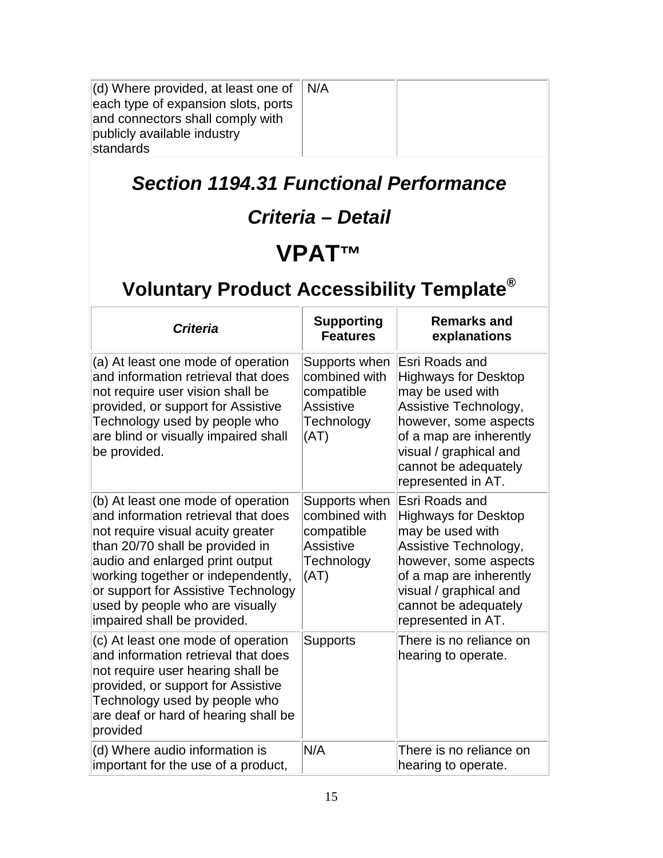| (d) Where provided, at least one of<br>each type of expansion slots, ports<br>and connectors shall comply with<br>publicly available industry<br>standards                                                                                                                                                                          | N/A                                                                                    |                                                                                                                                                                                                                        |
|-------------------------------------------------------------------------------------------------------------------------------------------------------------------------------------------------------------------------------------------------------------------------------------------------------------------------------------|----------------------------------------------------------------------------------------|------------------------------------------------------------------------------------------------------------------------------------------------------------------------------------------------------------------------|
| <b>Section 1194.31 Functional Performance</b>                                                                                                                                                                                                                                                                                       |                                                                                        |                                                                                                                                                                                                                        |
|                                                                                                                                                                                                                                                                                                                                     | Criteria - Detail                                                                      |                                                                                                                                                                                                                        |
|                                                                                                                                                                                                                                                                                                                                     | VPAT™                                                                                  |                                                                                                                                                                                                                        |
| Voluntary Product Accessibility Template <sup>®</sup>                                                                                                                                                                                                                                                                               |                                                                                        |                                                                                                                                                                                                                        |
| <b>Criteria</b>                                                                                                                                                                                                                                                                                                                     | <b>Supporting</b><br><b>Features</b>                                                   | <b>Remarks and</b><br>explanations                                                                                                                                                                                     |
| (a) At least one mode of operation<br>and information retrieval that does<br>not require user vision shall be<br>provided, or support for Assistive<br>Technology used by people who<br>are blind or visually impaired shall<br>be provided.                                                                                        | Supports when<br>combined with<br>compatible<br><b>Assistive</b><br>Technology<br>(AT) | Esri Roads and<br><b>Highways for Desktop</b><br>may be used with<br>Assistive Technology,<br>however, some aspects<br>of a map are inherently<br>visual / graphical and<br>cannot be adequately<br>represented in AT. |
| (b) At least one mode of operation<br>and information retrieval that does<br>not require visual acuity greater<br>than 20/70 shall be provided in<br>audio and enlarged print output<br>working together or independently,<br>or support for Assistive Technology<br>used by people who are visually<br>impaired shall be provided. | Supports when<br>combined with<br>compatible<br><b>Assistive</b><br>Technology<br>(AT) | Esri Roads and<br><b>Highways for Desktop</b><br>may be used with<br>Assistive Technology,<br>however, some aspects<br>of a map are inherently<br>visual / graphical and<br>cannot be adequately<br>represented in AT. |
| (c) At least one mode of operation<br>and information retrieval that does<br>not require user hearing shall be<br>provided, or support for Assistive<br>Technology used by people who<br>are deaf or hard of hearing shall be<br>provided                                                                                           | <b>Supports</b>                                                                        | There is no reliance on<br>hearing to operate.                                                                                                                                                                         |
| (d) Where audio information is<br>important for the use of a product,                                                                                                                                                                                                                                                               | N/A                                                                                    | There is no reliance on<br>hearing to operate.                                                                                                                                                                         |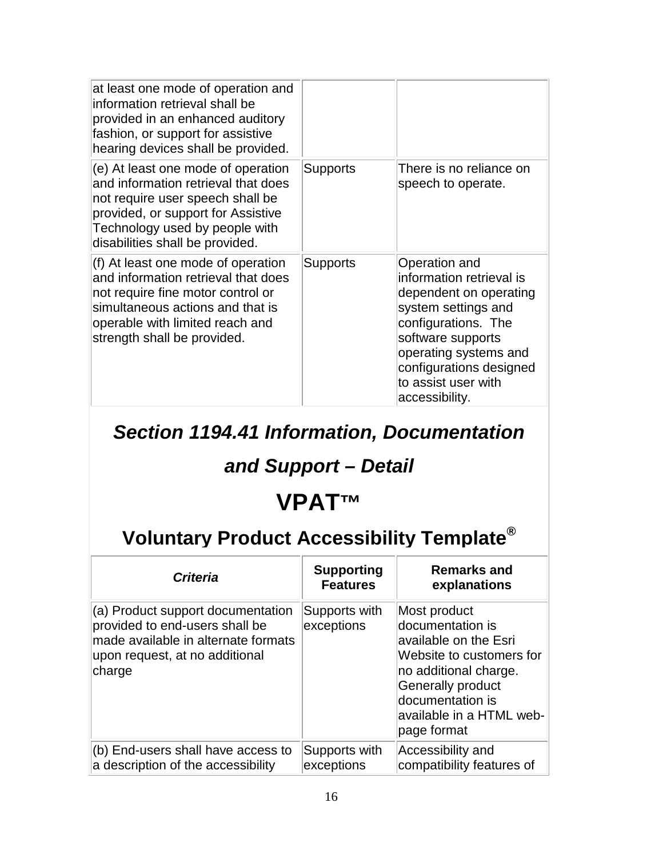| at least one mode of operation and<br>information retrieval shall be<br>provided in an enhanced auditory<br>fashion, or support for assistive<br>hearing devices shall be provided.                                      |                 |                                                                                                                                                                                                                                     |
|--------------------------------------------------------------------------------------------------------------------------------------------------------------------------------------------------------------------------|-----------------|-------------------------------------------------------------------------------------------------------------------------------------------------------------------------------------------------------------------------------------|
| (e) At least one mode of operation<br>and information retrieval that does<br>not require user speech shall be<br>provided, or support for Assistive<br>Technology used by people with<br>disabilities shall be provided. | Supports        | There is no reliance on<br>speech to operate.                                                                                                                                                                                       |
| (f) At least one mode of operation<br>and information retrieval that does<br>not require fine motor control or<br>simultaneous actions and that is<br>operable with limited reach and<br>strength shall be provided.     | <b>Supports</b> | Operation and<br>information retrieval is<br>dependent on operating<br>system settings and<br>configurations. The<br>software supports<br>operating systems and<br>configurations designed<br>to assist user with<br>accessibility. |

*Section 1194.41 Information, Documentation* 

#### *and Support – Detail*

# **VPAT™**

| <b>Criteria</b>                                                                                                                                        | <b>Supporting</b><br><b>Features</b> | <b>Remarks and</b><br>explanations                                                                                                                                                                        |
|--------------------------------------------------------------------------------------------------------------------------------------------------------|--------------------------------------|-----------------------------------------------------------------------------------------------------------------------------------------------------------------------------------------------------------|
| (a) Product support documentation<br>provided to end-users shall be<br>made available in alternate formats<br>upon request, at no additional<br>charge | Supports with<br>exceptions          | Most product<br>documentation is<br>available on the Esri<br>Website to customers for<br>no additional charge.<br><b>Generally product</b><br>documentation is<br>available in a HTML web-<br>page format |
| (b) End-users shall have access to<br>a description of the accessibility                                                                               | Supports with<br>exceptions          | Accessibility and<br>compatibility features of                                                                                                                                                            |